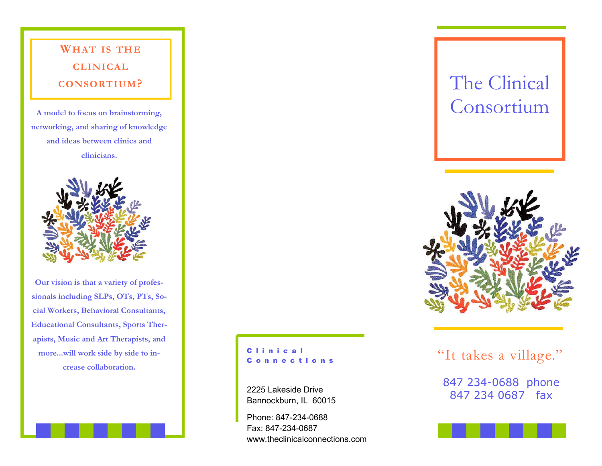

**sionals including SLPs, OTs, PTs, Social Workers, Behavioral Consultants, Educational Consultants, Sports Therapists, Music and Art Therapists, and more...will work side by side to increase collaboration.** 

# C o n n e c t i o n s

2225 Lakeside Drive Bannockburn, IL 60015

Phone: 847-234-0688 Fax: 847-234-0687 www.theclinicalconnections.com



clinical<br>connections "It takes a village."

847 234-0688 phone 847 234 0687 fax